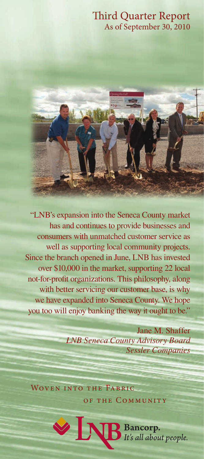# Third Quarter Report As of September 30, 2010



"LNB's expansion into the Seneca County market has and continues to provide businesses and consumers with unmatched customer service as well as supporting local community projects. Since the branch opened in June, LNB has invested over \$10,000 in the market, supporting 22 local not-for-profit organizations. This philosophy, along with better servicing our customer base, is why we have expanded into Seneca County. We hope you too will enjoy banking the way it ought to be."

> Jane M. Shaffer *LNB Seneca County Advisory Board Sessler Companies*

Woven into the Fabric of the Communit y

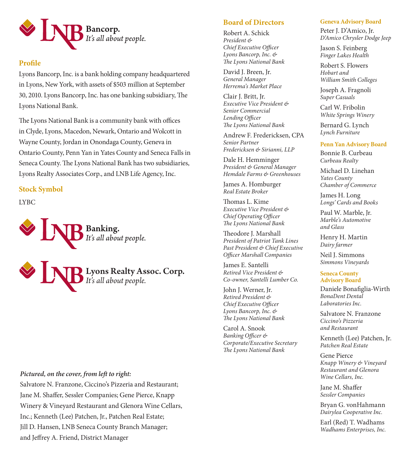

# **Profile**

Lyons Bancorp, Inc. is a bank holding company headquartered in Lyons, New York, with assets of \$503 million at September 30, 2010. Lyons Bancorp, Inc. has one banking subsidiary, The Lyons National Bank.

The Lyons National Bank is a community bank with offices in Clyde, Lyons, Macedon, Newark, Ontario and Wolcott in Wayne County, Jordan in Onondaga County, Geneva in Ontario County, Penn Yan in Yates County and Seneca Falls in Seneca County. The Lyons National Bank has two subsidiaries, Lyons Realty Associates Corp., and LNB Life Agency, Inc.

**Stock Symbol** 

LYBC



# *Pictured, on the cover, from left to right:*

Salvatore N. Franzone, Ciccino's Pizzeria and Restaurant; Jane M. Shaffer, Sessler Companies; Gene Pierce, Knapp Winery & Vineyard Restaurant and Glenora Wine Cellars, Inc.; Kenneth (Lee) Patchen, Jr., Patchen Real Estate; Jill D. Hansen, LNB Seneca County Branch Manager; and Jeffrey A. Friend, District Manager

# **Board of Directors**

Robert A. Schick *President & Chief Executive Officer Lyons Bancorp, Inc. & The Lyons National Bank*

David J. Breen, Jr. *General Manager Herrema's Market Place*

Clair J. Britt, Jr. *Executive Vice President & Senior Commercial Lending Officer The Lyons National Bank*

Andrew F. Fredericksen, CPA *Senior Partner Fredericksen & Sirianni, LLP*

Dale H. Hemminger *President & General Manager Hemdale Farms & Greenhouses* 

James A. Homburger *Real Estate Broker*

Thomas L. Kime *Executive Vice President & Chief Operating Officer The Lyons National Bank*

Theodore J. Marshall *President of Patriot Tank Lines Past President & Chief Executive Officer Marshall Companies*

James E. Santelli *Retired Vice President & Co-owner, Santelli Lumber Co.*

John J. Werner, Jr. *Retired President & Chief Executive Officer Lyons Bancorp, Inc. & The Lyons National Bank*

Carol A. Snook *Banking Officer & Corporate/Executive Secretary The Lyons National Bank*

#### **Geneva Advisory Board**

Peter J. D'Amico, Jr. *D'Amico Chrysler Dodge Jeep*

Jason S. Feinberg *Finger Lakes Health*

Robert S. Flowers *Hobart and William Smith Colleges*

Joseph A. Fragnoli *Super Casuals*

Carl W. Fribolin *White Springs Winery*

Bernard G. Lynch *Lynch Furniture*

#### **Penn Yan Advisory Board**

Bonnie B. Curbeau *Curbeau Realty*

Michael D. Linehan *Yates County Chamber of Commerce*

James H. Long *Longs' Cards and Books*

Paul W. Marble, Jr. *Marble's Automotive and Glass* 

Henry H. Martin *Dairy farmer*

Neil J. Simmons *Simmons Vineyards*

#### **Seneca County Advisory Board**

Daniele Bonafiglia-Wirth *BonaDent Dental Laboratories Inc.* 

Salvatore N. Franzone *Ciccino's Pizzeria and Restaurant*

Kenneth (Lee) Patchen, Jr. *Patchen Real Estate*

Gene Pierce *Knapp Winery & Vineyard Restaurant and Glenora Wine Cellars, Inc.*

Jane M. Shaffer *Sessler Companies*

Bryan G. vonHahmann *Dairylea Cooperative Inc.*

Earl (Red) T. Wadhams *Wadhams Enterprises, Inc.*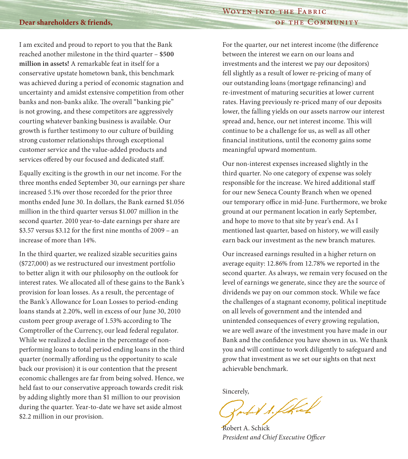# Woven into the Fabric OF THE COMMUNITY

#### **Dear shareholders & friends,**

I am excited and proud to report to you that the Bank reached another milestone in the third quarter – **\$500 million in assets!** A remarkable feat in itself for a conservative upstate hometown bank, this benchmark was achieved during a period of economic stagnation and uncertainty and amidst extensive competition from other banks and non-banks alike. The overall "banking pie" is not growing, and these competitors are aggressively courting whatever banking business is available. Our growth is further testimony to our culture of building strong customer relationships through exceptional customer service and the value-added products and services offered by our focused and dedicated staff.

Equally exciting is the growth in our net income. For the three months ended September 30, our earnings per share increased 5.1% over those recorded for the prior three months ended June 30. In dollars, the Bank earned \$1.056 million in the third quarter versus \$1.007 million in the second quarter. 2010 year-to-date earnings per share are \$3.57 versus \$3.12 for the first nine months of 2009 – an increase of more than 14%.

In the third quarter, we realized sizable securities gains (\$727,000) as we restructured our investment portfolio to better align it with our philosophy on the outlook for interest rates. We allocated all of these gains to the Bank's provision for loan losses. As a result, the percentage of the Bank's Allowance for Loan Losses to period-ending loans stands at 2.20%, well in excess of our June 30, 2010 custom peer group average of 1.53% according to The Comptroller of the Currency, our lead federal regulator. While we realized a decline in the percentage of nonperforming loans to total period ending loans in the third quarter (normally affording us the opportunity to scale back our provision) it is our contention that the present economic challenges are far from being solved. Hence, we held fast to our conservative approach towards credit risk by adding slightly more than \$1 million to our provision during the quarter. Year-to-date we have set aside almost \$2.2 million in our provision.

For the quarter, our net interest income (the difference between the interest we earn on our loans and investments and the interest we pay our depositors) fell slightly as a result of lower re-pricing of many of our outstanding loans (mortgage refinancing) and re-investment of maturing securities at lower current rates. Having previously re-priced many of our deposits lower, the falling yields on our assets narrow our interest spread and, hence, our net interest income. This will continue to be a challenge for us, as well as all other financial institutions, until the economy gains some meaningful upward momentum.

Our non-interest expenses increased slightly in the third quarter. No one category of expense was solely responsible for the increase. We hired additional staff for our new Seneca County Branch when we opened our temporary office in mid-June. Furthermore, we broke ground at our permanent location in early September, and hope to move to that site by year's end. As I mentioned last quarter, based on history, we will easily earn back our investment as the new branch matures.

Our increased earnings resulted in a higher return on average equity: 12.86% from 12.78% we reported in the second quarter. As always, we remain very focused on the level of earnings we generate, since they are the source of dividends we pay on our common stock. While we face the challenges of a stagnant economy, political ineptitude on all levels of government and the intended and unintended consequences of every growing regulation, we are well aware of the investment you have made in our Bank and the confidence you have shown in us. We thank you and will continue to work diligently to safeguard and grow that investment as we set our sights on that next achievable benchmark.

Sincerely,

W. f. flkal

Robert A. Schick *President and Chief Executive Officer*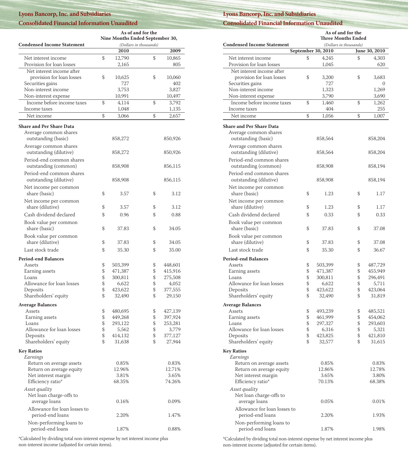#### **Lyons Bancorp, Inc. and Subsidiaries**

#### **Consolidated Financial Information Unaudited**

|                                   | <b>As of and for the</b>                                  |         |    |               |  |
|-----------------------------------|-----------------------------------------------------------|---------|----|---------------|--|
|                                   | Nine Months Ended September 30,<br>(Dollars in thousands) |         |    |               |  |
| <b>Condensed Income Statement</b> |                                                           | 2010    |    | 2009          |  |
| Net interest income               | \$                                                        | 12,790  | \$ |               |  |
| Provision for loan losses         |                                                           | 2,165   |    | 10,865<br>805 |  |
|                                   |                                                           |         |    |               |  |
| Net interest income after         |                                                           |         |    |               |  |
| provision for loan losses         | \$                                                        | 10,625  | \$ | 10,060        |  |
| Securities gains                  |                                                           | 727     |    | 402           |  |
| Non-interest income               |                                                           | 3,753   |    | 3,827         |  |
| Non-interest expense              |                                                           | 10,991  |    | 10,497        |  |
| Income before income taxes        | \$                                                        | 4,114   | \$ | 3,792         |  |
| Income taxes                      |                                                           | 1,048   |    | 1,135         |  |
| Net income                        | \$                                                        | 3,066   | \$ | 2,657         |  |
| <b>Share and Per Share Data</b>   |                                                           |         |    |               |  |
| Average common shares             |                                                           |         |    |               |  |
| outstanding (basic)               |                                                           | 858,272 |    | 850,926       |  |
|                                   |                                                           |         |    |               |  |
| Average common shares             |                                                           |         |    |               |  |
| outstanding (dilutive)            |                                                           | 858,272 |    | 850,926       |  |
| Period-end common shares          |                                                           |         |    |               |  |
| outstanding (common)              |                                                           | 858,908 |    | 856,115       |  |
| Period-end common shares          |                                                           |         |    |               |  |
| outstanding (dilutive)            |                                                           | 858,908 |    | 856,115       |  |
| Net income per common             |                                                           |         |    |               |  |
| share (basic)                     | \$                                                        | 3.57    | \$ | 3.12          |  |
|                                   |                                                           |         |    |               |  |
| Net income per common             |                                                           |         |    |               |  |
| share (dilutive)                  | \$                                                        | 3.57    | \$ | 3.12          |  |
| Cash dividend declared            | \$                                                        | 0.96    | \$ | 0.88          |  |
| Book value per common             |                                                           |         |    |               |  |
| share (basic)                     | \$                                                        | 37.83   | \$ | 34.05         |  |
| Book value per common             |                                                           |         |    |               |  |
| share (dilutive)                  | \$                                                        | 37.83   | \$ | 34.05         |  |
| Last stock trade                  | \$                                                        | 35.30   | \$ |               |  |
|                                   |                                                           |         |    | 35.00         |  |
| <b>Period-end Balances</b>        |                                                           |         |    |               |  |
| Assets                            | \$                                                        | 503,399 | \$ | 448,601       |  |
| Earning assets                    | \$                                                        | 471,387 | \$ | 415,916       |  |
| Loans                             | \$                                                        | 300,811 | \$ | 275,508       |  |
| Allowance for loan losses         | \$                                                        | 6,622   | \$ | 4,052         |  |
| Deposits                          | \$                                                        | 423,622 | \$ | 377,555       |  |
| Shareholders' equity              | \$                                                        | 32,490  | \$ | 29,150        |  |
| <b>Average Balances</b>           |                                                           |         |    |               |  |
| Assets                            | \$                                                        | 480,695 | \$ | 427,139       |  |
| Earning assets                    | \$                                                        | 449,268 | \$ | 397,924       |  |
| Loans                             | \$                                                        | 293,122 | \$ | 253,281       |  |
| Allowance for loan losses         | \$                                                        | 5,562   | \$ | 3,779         |  |
| Deposits                          | \$                                                        | 414,132 | \$ | 377,127       |  |
| Shareholders' equity              | \$                                                        | 31,638  | \$ | 27,944        |  |
|                                   |                                                           |         |    |               |  |
| <b>Key Ratios</b>                 |                                                           |         |    |               |  |
| Earnings                          |                                                           |         |    |               |  |
| Return on average assets          |                                                           | 0.85%   |    | 0.83%         |  |
| Return on average equity          |                                                           | 12.96%  |    | 12.71%        |  |
| Net interest margin               |                                                           | 3.81%   |    | 3.65%         |  |
| Efficiency ratio*                 |                                                           | 68.35%  |    | 74.26%        |  |
| Asset quality                     |                                                           |         |    |               |  |
| Net loan charge-offs to           |                                                           |         |    |               |  |
| average loans                     |                                                           | 0.16%   |    | 0.09%         |  |
| Allowance for loan losses to      |                                                           |         |    |               |  |
| period-end loans                  |                                                           | 2.20%   |    | 1.47%         |  |
| Non-performing loans to           |                                                           |         |    |               |  |
| period-end loans                  |                                                           | 1.87%   |    | 0.88%         |  |
|                                   |                                                           |         |    |               |  |

\*Calculated by dividing total non-interest expense by net interest income plus non-interest income (adjusted for certain items).

#### **Lyons Bancorp, Inc. and Subsidiaries**

**Consolidated Financial Information Unaudited**

|                                   | As of and for the<br><b>Three Months Ended</b> |                        |               |  |
|-----------------------------------|------------------------------------------------|------------------------|---------------|--|
| <b>Condensed Income Statement</b> |                                                | (Dollars in thousands) |               |  |
|                                   | September 30, 2010                             |                        | June 30, 2010 |  |
| Net interest income               | \$<br>4,245                                    | \$                     | 4,303         |  |
| Provision for loan losses         | 1,045                                          |                        | 620           |  |
| Net interest income after         |                                                |                        |               |  |
| provision for loan losses         | \$<br>3,200                                    | \$                     | 3.683         |  |
| Securities gains                  | 727                                            |                        | 0             |  |
| Non-interest income               | 1,323                                          |                        | 1,269         |  |
| Non-interest expense              | 3,790                                          |                        | 3,690         |  |
| Income before income taxes        | \$<br>1,460                                    | \$                     | 1,262         |  |
| Income taxes                      | 404                                            |                        | 255           |  |
| Net income                        | \$<br>1,056                                    | \$                     | 1,007         |  |
|                                   |                                                |                        |               |  |
| <b>Share and Per Share Data</b>   |                                                |                        |               |  |
| Average common shares             |                                                |                        |               |  |
| outstanding (basic)               | 858,564                                        |                        | 858,204       |  |
| Average common shares             |                                                |                        |               |  |
| outstanding (dilutive)            | 858,564                                        |                        | 858,204       |  |
| Period-end common shares          |                                                |                        |               |  |
| outstanding (common)              | 858,908                                        |                        | 858,194       |  |
| Period-end common shares          |                                                |                        |               |  |
| outstanding (dilutive)            | 858,908                                        |                        | 858,194       |  |
|                                   |                                                |                        |               |  |
| Net income per common             |                                                |                        |               |  |
| share (basic)                     | \$<br>1.23                                     | \$                     | 1.17          |  |
| Net income per common             |                                                |                        |               |  |
| share (dilutive)                  | \$<br>1.23                                     | \$                     | 1.17          |  |
| Cash dividend declared            | \$<br>0.33                                     | \$                     | 0.33          |  |
| Book value per common             |                                                |                        |               |  |
| share (basic)                     | \$<br>37.83                                    | \$                     | 37.08         |  |
|                                   |                                                |                        |               |  |
| Book value per common             |                                                |                        |               |  |
| share (dilutive)                  | \$<br>37.83                                    | \$                     | 37.08         |  |
| Last stock trade                  | \$<br>35.30                                    | \$                     | 36.67         |  |
| <b>Period-end Balances</b>        |                                                |                        |               |  |
| Assets                            | \$<br>503,399                                  | \$                     | 487,729       |  |
| Earning assets                    | \$<br>471,387                                  | \$                     | 455,949       |  |
| Loans                             | \$<br>300,811                                  | \$                     | 296,491       |  |
| Allowance for loan losses         | \$<br>6,622                                    | \$                     | 5,711         |  |
| Deposits                          | \$<br>423,622                                  | \$                     | 423,064       |  |
| Shareholders' equity              | \$<br>32,490                                   | \$                     | 31,819        |  |
|                                   |                                                |                        |               |  |
| <b>Average Balances</b>           |                                                |                        |               |  |
| Assets                            | \$<br>493,239                                  | \$                     | 485,521       |  |
| Earning assets                    | \$<br>461,999                                  | \$                     | 454,062       |  |
| Loans                             | \$<br>297,327                                  | \$                     | 293,603       |  |
| Allowance for loan losses         | \$<br>6,316                                    | \$                     | 5,321         |  |
| Deposits                          | \$<br>423,825                                  | \$                     | 421,810       |  |
| Shareholders' equity              | \$<br>32,577                                   | \$                     | 31,615        |  |
| <b>Key Ratios</b>                 |                                                |                        |               |  |
| Earnings                          |                                                |                        |               |  |
| Return on average assets          | 0.85%                                          |                        | 0.83%         |  |
| Return on average equity          | 12.86%                                         |                        | 12.78%        |  |
| Net interest margin               | 3.65%                                          |                        | 3.80%         |  |
| Efficiency ratio*                 | 70.13%                                         |                        | 68.38%        |  |
| Asset quality                     |                                                |                        |               |  |
| Net loan charge-offs to           |                                                |                        |               |  |
| average loans                     | 0.05%                                          |                        | 0.01%         |  |
| Allowance for loan losses to      |                                                |                        |               |  |
|                                   | 2.20%                                          |                        | 1.93%         |  |
| period-end loans                  |                                                |                        |               |  |
| Non-performing loans to           |                                                |                        |               |  |
| period-end loans                  | 1.87%                                          |                        | 1.98%         |  |

\*Calculated by dividing total non-interest expense by net interest income plus non-interest income (adjusted for certain items).